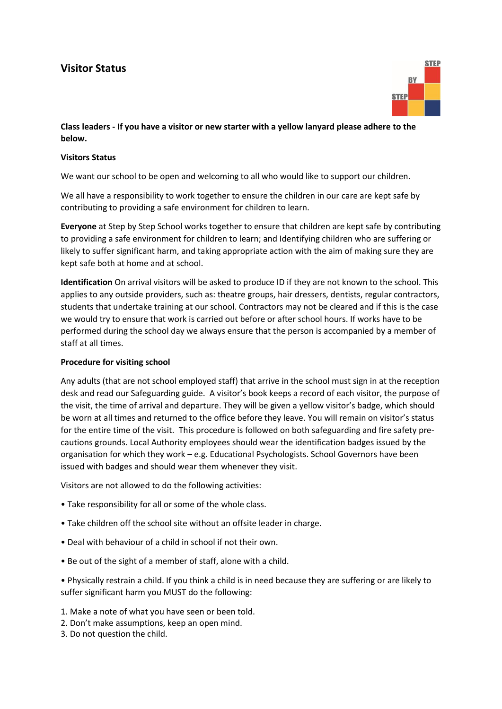## **Visitor Status**



## **Class leaders - If you have a visitor or new starter with a yellow lanyard please adhere to the below.**

## **Visitors Status**

We want our school to be open and welcoming to all who would like to support our children.

We all have a responsibility to work together to ensure the children in our care are kept safe by contributing to providing a safe environment for children to learn.

**Everyone** at Step by Step School works together to ensure that children are kept safe by contributing to providing a safe environment for children to learn; and Identifying children who are suffering or likely to suffer significant harm, and taking appropriate action with the aim of making sure they are kept safe both at home and at school.

**Identification** On arrival visitors will be asked to produce ID if they are not known to the school. This applies to any outside providers, such as: theatre groups, hair dressers, dentists, regular contractors, students that undertake training at our school. Contractors may not be cleared and if this is the case we would try to ensure that work is carried out before or after school hours. If works have to be performed during the school day we always ensure that the person is accompanied by a member of staff at all times.

## **Procedure for visiting school**

Any adults (that are not school employed staff) that arrive in the school must sign in at the reception desk and read our Safeguarding guide. A visitor's book keeps a record of each visitor, the purpose of the visit, the time of arrival and departure. They will be given a yellow visitor's badge, which should be worn at all times and returned to the office before they leave. You will remain on visitor's status for the entire time of the visit. This procedure is followed on both safeguarding and fire safety precautions grounds. Local Authority employees should wear the identification badges issued by the organisation for which they work – e.g. Educational Psychologists. School Governors have been issued with badges and should wear them whenever they visit.

Visitors are not allowed to do the following activities:

- Take responsibility for all or some of the whole class.
- Take children off the school site without an offsite leader in charge.
- Deal with behaviour of a child in school if not their own.
- Be out of the sight of a member of staff, alone with a child.
- Physically restrain a child. If you think a child is in need because they are suffering or are likely to suffer significant harm you MUST do the following:
- 1. Make a note of what you have seen or been told.
- 2. Don't make assumptions, keep an open mind.
- 3. Do not question the child.